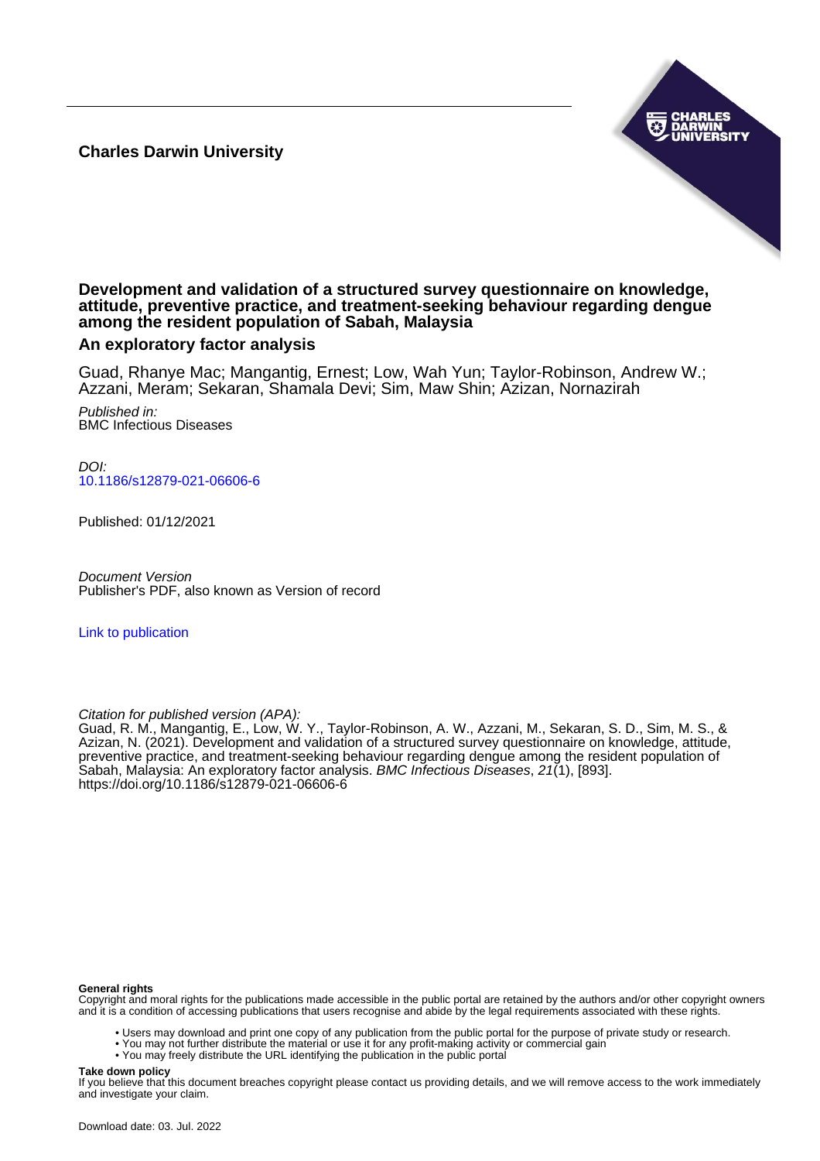**Charles Darwin University**



# **Development and validation of a structured survey questionnaire on knowledge, attitude, preventive practice, and treatment-seeking behaviour regarding dengue among the resident population of Sabah, Malaysia**

# **An exploratory factor analysis**

Guad, Rhanye Mac; Mangantig, Ernest; Low, Wah Yun; Taylor-Robinson, Andrew W.; Azzani, Meram; Sekaran, Shamala Devi; Sim, Maw Shin; Azizan, Nornazirah

Published in: BMC Infectious Diseases

DOI: [10.1186/s12879-021-06606-6](https://doi.org/10.1186/s12879-021-06606-6)

Published: 01/12/2021

Document Version Publisher's PDF, also known as Version of record

[Link to publication](https://researchers.cdu.edu.au/en/publications/676f9511-4e20-4605-b620-0d0d0c84b856)

Citation for published version (APA):

Guad, R. M., Mangantig, E., Low, W. Y., Taylor-Robinson, A. W., Azzani, M., Sekaran, S. D., Sim, M. S., & Azizan, N. (2021). Development and validation of a structured survey questionnaire on knowledge, attitude, preventive practice, and treatment-seeking behaviour regarding dengue among the resident population of Sabah, Malaysia: An exploratory factor analysis. BMC Infectious Diseases, 21(1), [893]. <https://doi.org/10.1186/s12879-021-06606-6>

### **General rights**

Copyright and moral rights for the publications made accessible in the public portal are retained by the authors and/or other copyright owners and it is a condition of accessing publications that users recognise and abide by the legal requirements associated with these rights.

- Users may download and print one copy of any publication from the public portal for the purpose of private study or research.
- You may not further distribute the material or use it for any profit-making activity or commercial gain
- You may freely distribute the URL identifying the publication in the public portal

# **Take down policy**

If you believe that this document breaches copyright please contact us providing details, and we will remove access to the work immediately and investigate your claim.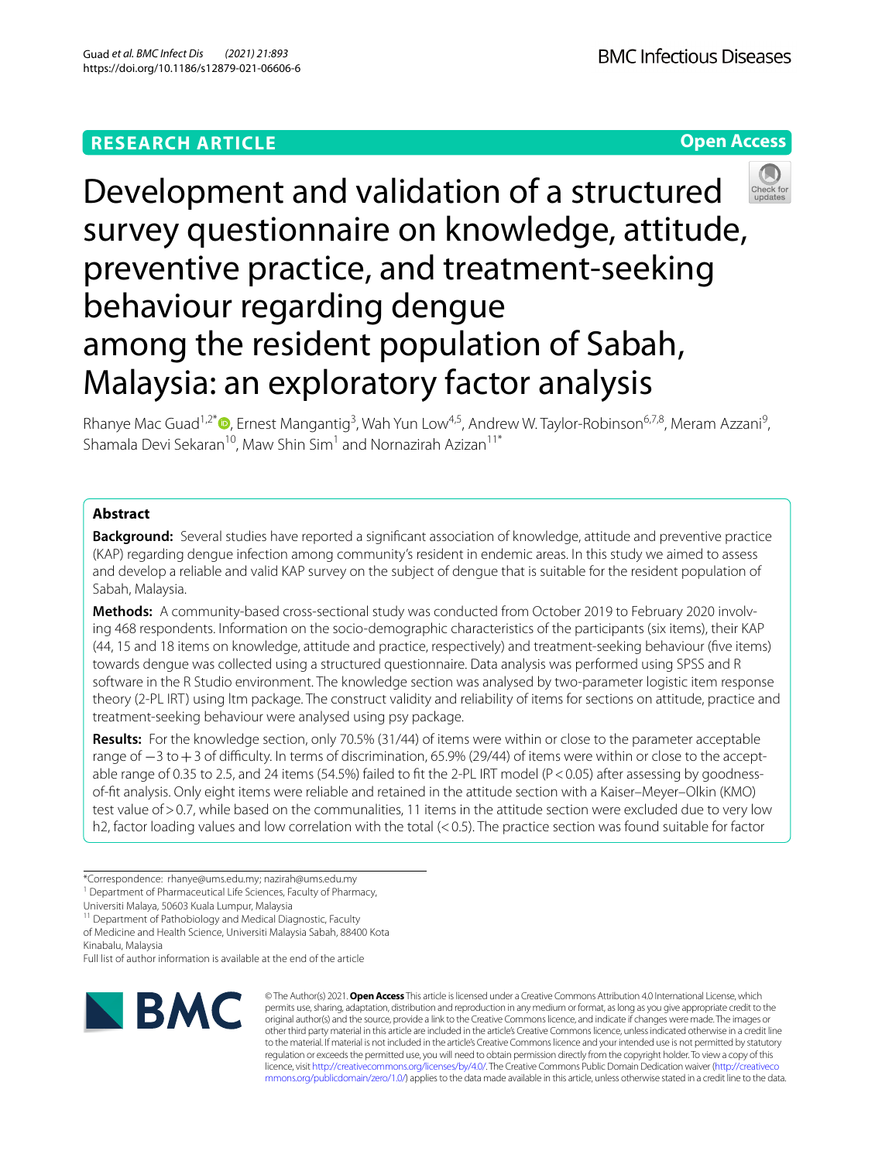# **RESEARCH ARTICLE**

**Open Access**



Development and validation of a structured survey questionnaire on knowledge, attitude, preventive practice, and treatment-seeking behaviour regarding dengue among the resident population of Sabah, Malaysia: an exploratory factor analysis

Rhanye Mac Guad<sup>1,2\*</sup><sup>®</sup>[,](http://orcid.org/0000-0003-2453-3760) Ernest Mangantig<sup>3</sup>, Wah Yun Low<sup>4,5</sup>, Andrew W. Taylor-Robinson<sup>6,7,8</sup>, Meram Azzani<sup>9</sup>, Shamala Devi Sekaran<sup>10</sup>, Maw Shin Sim<sup>1</sup> and Nornazirah Azizan<sup>11\*</sup>

# **Abstract**

**Background:** Several studies have reported a signifcant association of knowledge, attitude and preventive practice (KAP) regarding dengue infection among community's resident in endemic areas. In this study we aimed to assess and develop a reliable and valid KAP survey on the subject of dengue that is suitable for the resident population of Sabah, Malaysia.

Methods: A community-based cross-sectional study was conducted from October 2019 to February 2020 involving 468 respondents. Information on the socio-demographic characteristics of the participants (six items), their KAP (44, 15 and 18 items on knowledge, attitude and practice, respectively) and treatment-seeking behaviour (fve items) towards dengue was collected using a structured questionnaire. Data analysis was performed using SPSS and R software in the R Studio environment. The knowledge section was analysed by two-parameter logistic item response theory (2-PL IRT) using ltm package. The construct validity and reliability of items for sections on attitude, practice and treatment-seeking behaviour were analysed using psy package.

**Results:** For the knowledge section, only 70.5% (31/44) of items were within or close to the parameter acceptable range of −3 to +3 of difficulty. In terms of discrimination, 65.9% (29/44) of items were within or close to the acceptable range of 0.35 to 2.5, and 24 items (54.5%) failed to fit the 2-PL IRT model (P<0.05) after assessing by goodnessof-ft analysis. Only eight items were reliable and retained in the attitude section with a Kaiser–Meyer–Olkin (KMO) test value of > 0.7, while based on the communalities, 11 items in the attitude section were excluded due to very low h2, factor loading values and low correlation with the total (<0.5). The practice section was found suitable for factor

<sup>11</sup> Department of Pathobiology and Medical Diagnostic, Faculty of Medicine and Health Science, Universiti Malaysia Sabah, 88400 Kota Kinabalu, Malaysia

Full list of author information is available at the end of the article



© The Author(s) 2021. **Open Access** This article is licensed under a Creative Commons Attribution 4.0 International License, which permits use, sharing, adaptation, distribution and reproduction in any medium or format, as long as you give appropriate credit to the original author(s) and the source, provide a link to the Creative Commons licence, and indicate if changes were made. The images or other third party material in this article are included in the article's Creative Commons licence, unless indicated otherwise in a credit line to the material. If material is not included in the article's Creative Commons licence and your intended use is not permitted by statutory regulation or exceeds the permitted use, you will need to obtain permission directly from the copyright holder. To view a copy of this licence, visit [http://creativecommons.org/licenses/by/4.0/.](http://creativecommons.org/licenses/by/4.0/) The Creative Commons Public Domain Dedication waiver ([http://creativeco](http://creativecommons.org/publicdomain/zero/1.0/) [mmons.org/publicdomain/zero/1.0/](http://creativecommons.org/publicdomain/zero/1.0/)) applies to the data made available in this article, unless otherwise stated in a credit line to the data.

<sup>\*</sup>Correspondence: rhanye@ums.edu.my; nazirah@ums.edu.my

<sup>&</sup>lt;sup>1</sup> Department of Pharmaceutical Life Sciences, Faculty of Pharmacy,

Universiti Malaya, 50603 Kuala Lumpur, Malaysia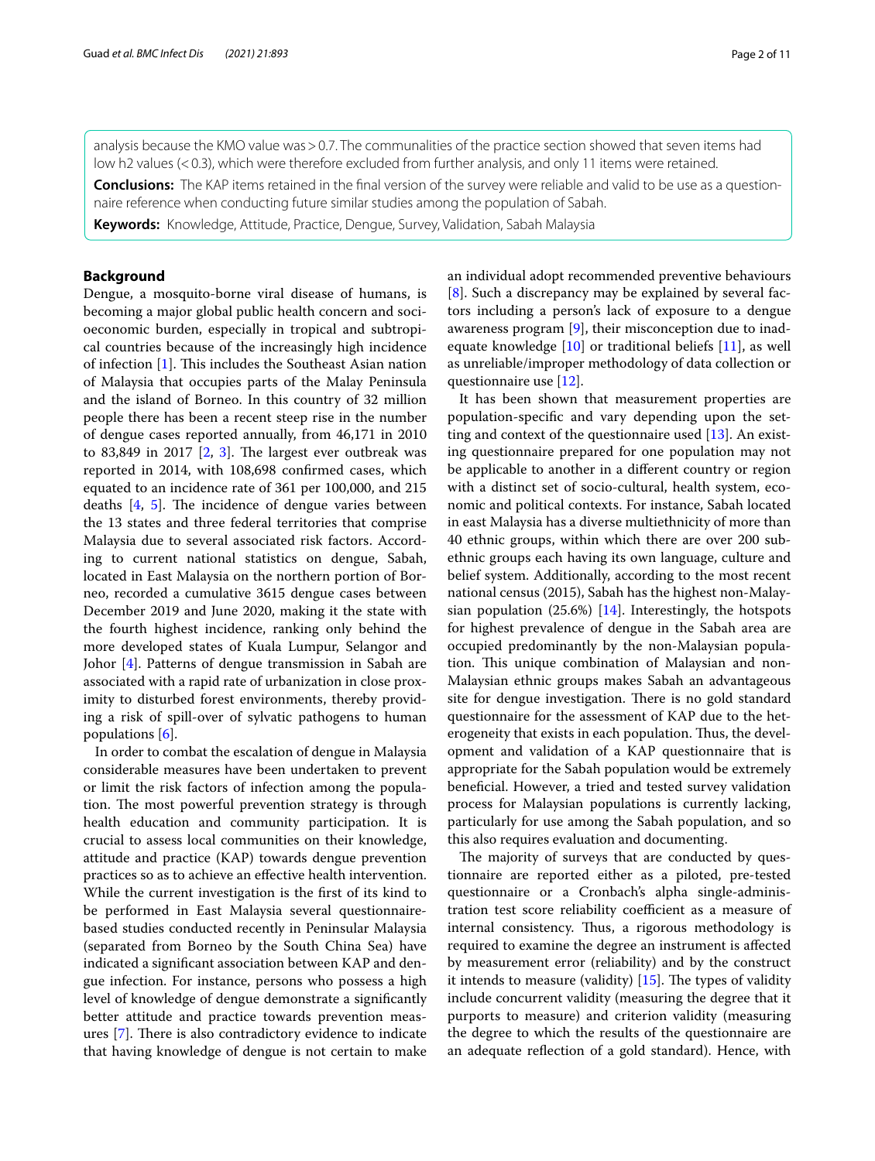analysis because the KMO value was>0.7. The communalities of the practice section showed that seven items had low h2 values (<0.3), which were therefore excluded from further analysis, and only 11 items were retained.

**Conclusions:** The KAP items retained in the fnal version of the survey were reliable and valid to be use as a question‑ naire reference when conducting future similar studies among the population of Sabah.

**Keywords:** Knowledge, Attitude, Practice, Dengue, Survey, Validation, Sabah Malaysia

### **Background**

Dengue, a mosquito-borne viral disease of humans, is becoming a major global public health concern and socioeconomic burden, especially in tropical and subtropical countries because of the increasingly high incidence of infection [[1\]](#page-10-0). This includes the Southeast Asian nation of Malaysia that occupies parts of the Malay Peninsula and the island of Borneo. In this country of 32 million people there has been a recent steep rise in the number of dengue cases reported annually, from 46,171 in 2010 to 8[3](#page-10-2),849 in 2017  $[2, 3]$  $[2, 3]$ . The largest ever outbreak was reported in 2014, with 108,698 confrmed cases, which equated to an incidence rate of 361 per 100,000, and 215 deaths  $[4, 5]$  $[4, 5]$  $[4, 5]$  $[4, 5]$  $[4, 5]$ . The incidence of dengue varies between the 13 states and three federal territories that comprise Malaysia due to several associated risk factors. According to current national statistics on dengue, Sabah, located in East Malaysia on the northern portion of Borneo, recorded a cumulative 3615 dengue cases between December 2019 and June 2020, making it the state with the fourth highest incidence, ranking only behind the more developed states of Kuala Lumpur, Selangor and Johor [[4\]](#page-10-3). Patterns of dengue transmission in Sabah are associated with a rapid rate of urbanization in close proximity to disturbed forest environments, thereby providing a risk of spill-over of sylvatic pathogens to human populations [[6\]](#page-10-5).

In order to combat the escalation of dengue in Malaysia considerable measures have been undertaken to prevent or limit the risk factors of infection among the population. The most powerful prevention strategy is through health education and community participation. It is crucial to assess local communities on their knowledge, attitude and practice (KAP) towards dengue prevention practices so as to achieve an efective health intervention. While the current investigation is the frst of its kind to be performed in East Malaysia several questionnairebased studies conducted recently in Peninsular Malaysia (separated from Borneo by the South China Sea) have indicated a signifcant association between KAP and dengue infection. For instance, persons who possess a high level of knowledge of dengue demonstrate a signifcantly better attitude and practice towards prevention measures  $[7]$  $[7]$ . There is also contradictory evidence to indicate that having knowledge of dengue is not certain to make an individual adopt recommended preventive behaviours [[8\]](#page-10-7). Such a discrepancy may be explained by several factors including a person's lack of exposure to a dengue awareness program [\[9](#page-10-8)], their misconception due to inadequate knowledge [\[10](#page-10-9)] or traditional beliefs [\[11](#page-10-10)], as well as unreliable/improper methodology of data collection or questionnaire use [\[12](#page-10-11)].

It has been shown that measurement properties are population-specifc and vary depending upon the setting and context of the questionnaire used [[13](#page-10-12)]. An existing questionnaire prepared for one population may not be applicable to another in a diferent country or region with a distinct set of socio-cultural, health system, economic and political contexts. For instance, Sabah located in east Malaysia has a diverse multiethnicity of more than 40 ethnic groups, within which there are over 200 subethnic groups each having its own language, culture and belief system. Additionally, according to the most recent national census (2015), Sabah has the highest non-Malaysian population (25.6%) [\[14](#page-10-13)]. Interestingly, the hotspots for highest prevalence of dengue in the Sabah area are occupied predominantly by the non-Malaysian population. This unique combination of Malaysian and non-Malaysian ethnic groups makes Sabah an advantageous site for dengue investigation. There is no gold standard questionnaire for the assessment of KAP due to the heterogeneity that exists in each population. Thus, the development and validation of a KAP questionnaire that is appropriate for the Sabah population would be extremely benefcial. However, a tried and tested survey validation process for Malaysian populations is currently lacking, particularly for use among the Sabah population, and so this also requires evaluation and documenting.

The majority of surveys that are conducted by questionnaire are reported either as a piloted, pre-tested questionnaire or a Cronbach's alpha single-administration test score reliability coefficient as a measure of internal consistency. Thus, a rigorous methodology is required to examine the degree an instrument is afected by measurement error (reliability) and by the construct it intends to measure (validity)  $[15]$  $[15]$ . The types of validity include concurrent validity (measuring the degree that it purports to measure) and criterion validity (measuring the degree to which the results of the questionnaire are an adequate refection of a gold standard). Hence, with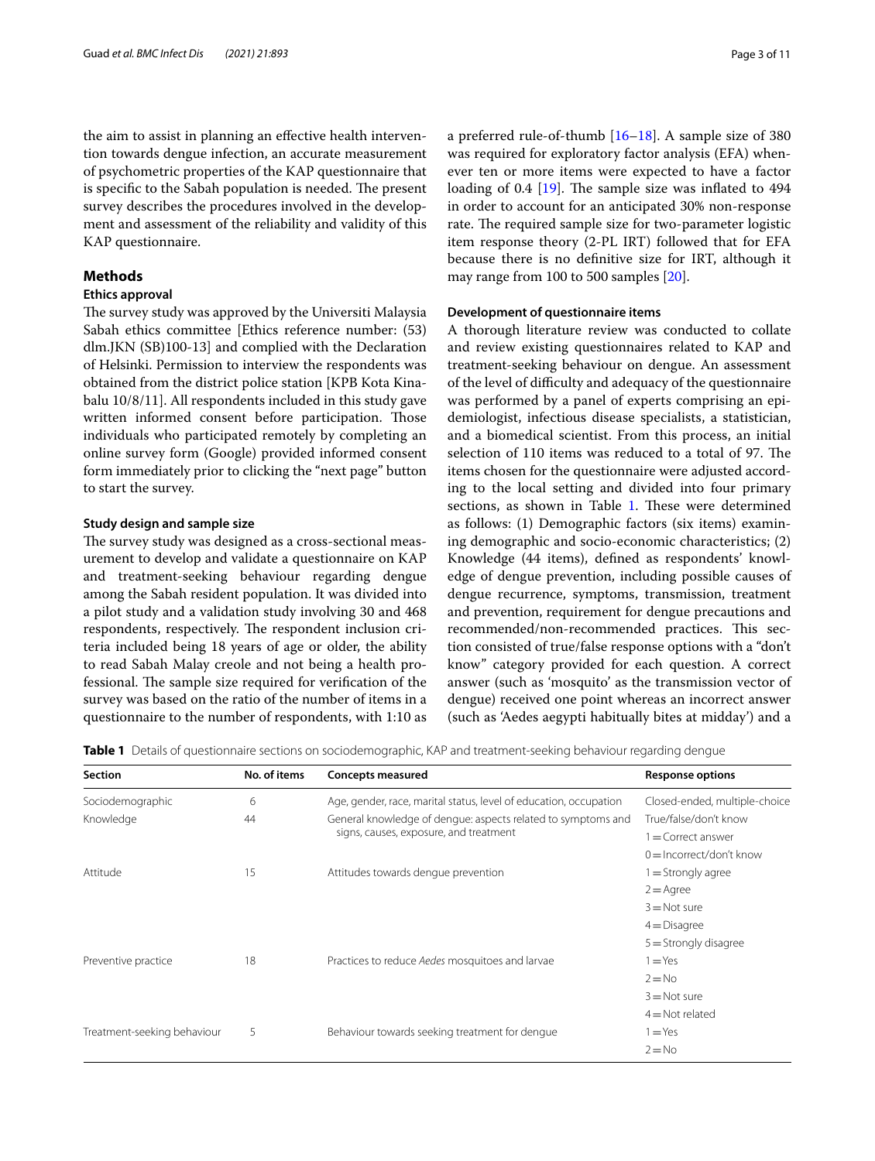the aim to assist in planning an efective health intervention towards dengue infection, an accurate measurement of psychometric properties of the KAP questionnaire that is specific to the Sabah population is needed. The present survey describes the procedures involved in the development and assessment of the reliability and validity of this KAP questionnaire.

# **Methods**

# **Ethics approval**

The survey study was approved by the Universiti Malaysia Sabah ethics committee [Ethics reference number: (53) dlm.JKN (SB)100-13] and complied with the Declaration of Helsinki. Permission to interview the respondents was obtained from the district police station [KPB Kota Kinabalu 10/8/11]. All respondents included in this study gave written informed consent before participation. Those individuals who participated remotely by completing an online survey form (Google) provided informed consent form immediately prior to clicking the "next page" button to start the survey.

## **Study design and sample size**

The survey study was designed as a cross-sectional measurement to develop and validate a questionnaire on KAP and treatment-seeking behaviour regarding dengue among the Sabah resident population. It was divided into a pilot study and a validation study involving 30 and 468 respondents, respectively. The respondent inclusion criteria included being 18 years of age or older, the ability to read Sabah Malay creole and not being a health professional. The sample size required for verification of the survey was based on the ratio of the number of items in a questionnaire to the number of respondents, with 1:10 as a preferred rule-of-thumb [[16](#page-10-15)[–18](#page-10-16)]. A sample size of 380 was required for exploratory factor analysis (EFA) whenever ten or more items were expected to have a factor loading of 0.4  $[19]$  $[19]$ . The sample size was inflated to 494 in order to account for an anticipated 30% non-response rate. The required sample size for two-parameter logistic item response theory (2-PL IRT) followed that for EFA because there is no defnitive size for IRT, although it may range from 100 to 500 samples [\[20](#page-10-18)].

## **Development of questionnaire items**

A thorough literature review was conducted to collate and review existing questionnaires related to KAP and treatment-seeking behaviour on dengue. An assessment of the level of difculty and adequacy of the questionnaire was performed by a panel of experts comprising an epidemiologist, infectious disease specialists, a statistician, and a biomedical scientist. From this process, an initial selection of 110 items was reduced to a total of 97. The items chosen for the questionnaire were adjusted according to the local setting and divided into four primary sections, as shown in Table [1.](#page-3-0) These were determined as follows: (1) Demographic factors (six items) examining demographic and socio-economic characteristics; (2) Knowledge (44 items), defned as respondents' knowledge of dengue prevention, including possible causes of dengue recurrence, symptoms, transmission, treatment and prevention, requirement for dengue precautions and recommended/non-recommended practices. This section consisted of true/false response options with a "don't know" category provided for each question. A correct answer (such as 'mosquito' as the transmission vector of dengue) received one point whereas an incorrect answer (such as 'Aedes aegypti habitually bites at midday') and a

<span id="page-3-0"></span>**Table 1** Details of questionnaire sections on sociodemographic, KAP and treatment-seeking behaviour regarding dengue

| <b>Section</b>              | No. of items | <b>Concepts measured</b>                                                                               | <b>Response options</b>       |
|-----------------------------|--------------|--------------------------------------------------------------------------------------------------------|-------------------------------|
| Sociodemographic            | 6            | Age, gender, race, marital status, level of education, occupation                                      | Closed-ended, multiple-choice |
| Knowledge                   | 44           | General knowledge of dengue: aspects related to symptoms and<br>signs, causes, exposure, and treatment | True/false/don't know         |
|                             |              |                                                                                                        | $=$ Correct answer            |
|                             |              |                                                                                                        | $0 =$ Incorrect/don't know    |
| Attitude                    | 15           | Attitudes towards dengue prevention                                                                    | 1 = Strongly agree            |
|                             |              |                                                                                                        | $2 = \text{Agree}$            |
|                             |              |                                                                                                        | $3 = Not sure$                |
|                             |              |                                                                                                        | $4$ = Disagree                |
|                             |              |                                                                                                        | $5 =$ Strongly disagree       |
| Preventive practice         | 18           | Practices to reduce Aedes mosquitoes and larvae                                                        | $=$ Yes                       |
|                             |              |                                                                                                        | $2 = No$                      |
|                             |              |                                                                                                        | $3 = Not sure$                |
|                             |              |                                                                                                        | $4 = Not$ related             |
| Treatment-seeking behaviour | 5            | Behaviour towards seeking treatment for dengue                                                         | $=$ Yes                       |
|                             |              |                                                                                                        | $2 = No$                      |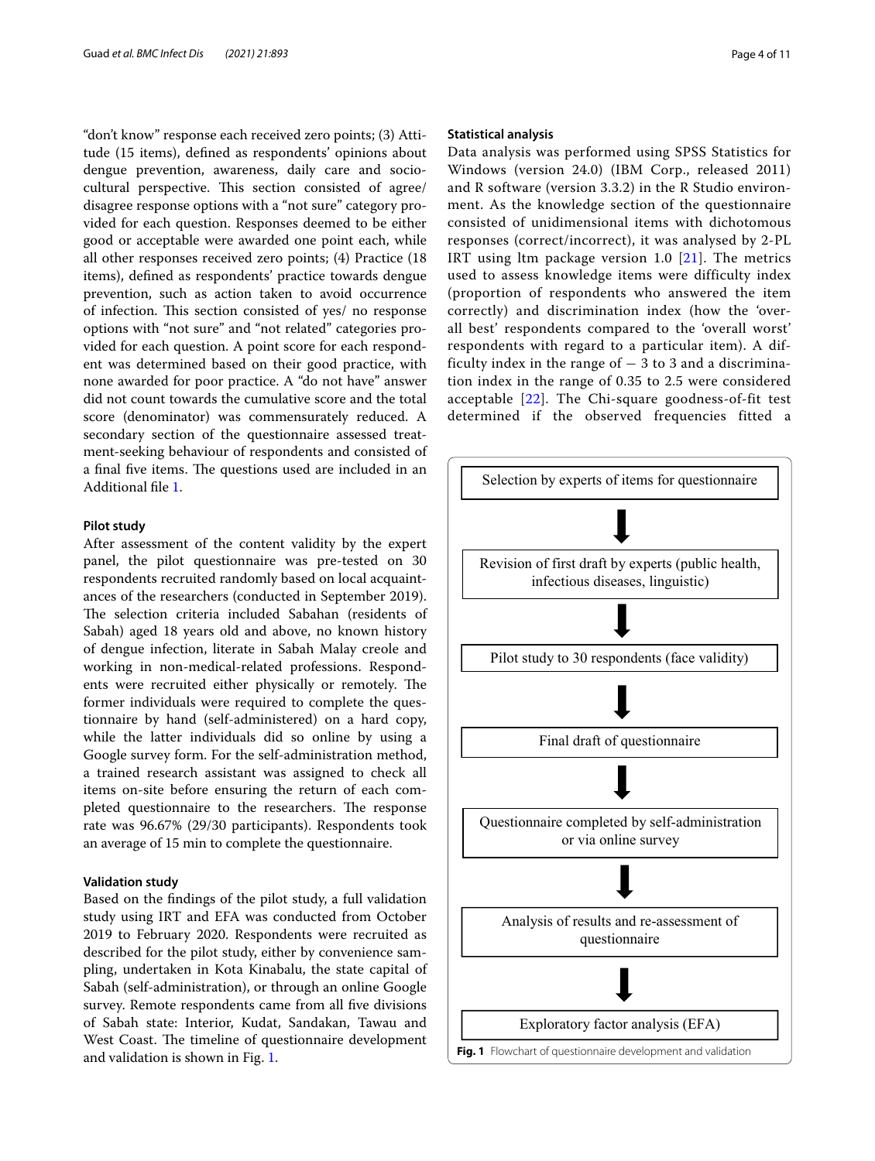"don't know" response each received zero points; (3) Attitude (15 items), defned as respondents' opinions about dengue prevention, awareness, daily care and sociocultural perspective. This section consisted of agree/ disagree response options with a "not sure" category provided for each question. Responses deemed to be either good or acceptable were awarded one point each, while all other responses received zero points; (4) Practice (18 items), defned as respondents' practice towards dengue prevention, such as action taken to avoid occurrence of infection. This section consisted of yes/ no response options with "not sure" and "not related" categories provided for each question. A point score for each respondent was determined based on their good practice, with none awarded for poor practice. A "do not have" answer did not count towards the cumulative score and the total score (denominator) was commensurately reduced. A secondary section of the questionnaire assessed treatment-seeking behaviour of respondents and consisted of a final five items. The questions used are included in an Additional fle [1](#page-9-0).

# **Pilot study**

After assessment of the content validity by the expert panel, the pilot questionnaire was pre-tested on 30 respondents recruited randomly based on local acquaintances of the researchers (conducted in September 2019). The selection criteria included Sabahan (residents of Sabah) aged 18 years old and above, no known history of dengue infection, literate in Sabah Malay creole and working in non-medical-related professions. Respondents were recruited either physically or remotely. The former individuals were required to complete the questionnaire by hand (self-administered) on a hard copy, while the latter individuals did so online by using a Google survey form. For the self-administration method, a trained research assistant was assigned to check all items on-site before ensuring the return of each completed questionnaire to the researchers. The response rate was 96.67% (29/30 participants). Respondents took an average of 15 min to complete the questionnaire.

### **Validation study**

<span id="page-4-0"></span>Based on the fndings of the pilot study, a full validation study using IRT and EFA was conducted from October 2019 to February 2020. Respondents were recruited as described for the pilot study, either by convenience sampling, undertaken in Kota Kinabalu, the state capital of Sabah (self-administration), or through an online Google survey. Remote respondents came from all fve divisions of Sabah state: Interior, Kudat, Sandakan, Tawau and West Coast. The timeline of questionnaire development and validation is shown in Fig. [1](#page-4-0).

### **Statistical analysis**

Data analysis was performed using SPSS Statistics for Windows (version 24.0) (IBM Corp., released 2011) and R software (version 3.3.2) in the R Studio environment. As the knowledge section of the questionnaire consisted of unidimensional items with dichotomous responses (correct/incorrect), it was analysed by 2-PL IRT using ltm package version 1.0  $[21]$  $[21]$ . The metrics used to assess knowledge items were difficulty index (proportion of respondents who answered the item correctly) and discrimination index (how the 'overall best' respondents compared to the 'overall worst' respondents with regard to a particular item). A difficulty index in the range of  $-3$  to 3 and a discrimination index in the range of 0.35 to 2.5 were considered acceptable [[22](#page-10-20)]. The Chi-square goodness-of-fit test determined if the observed frequencies fitted a

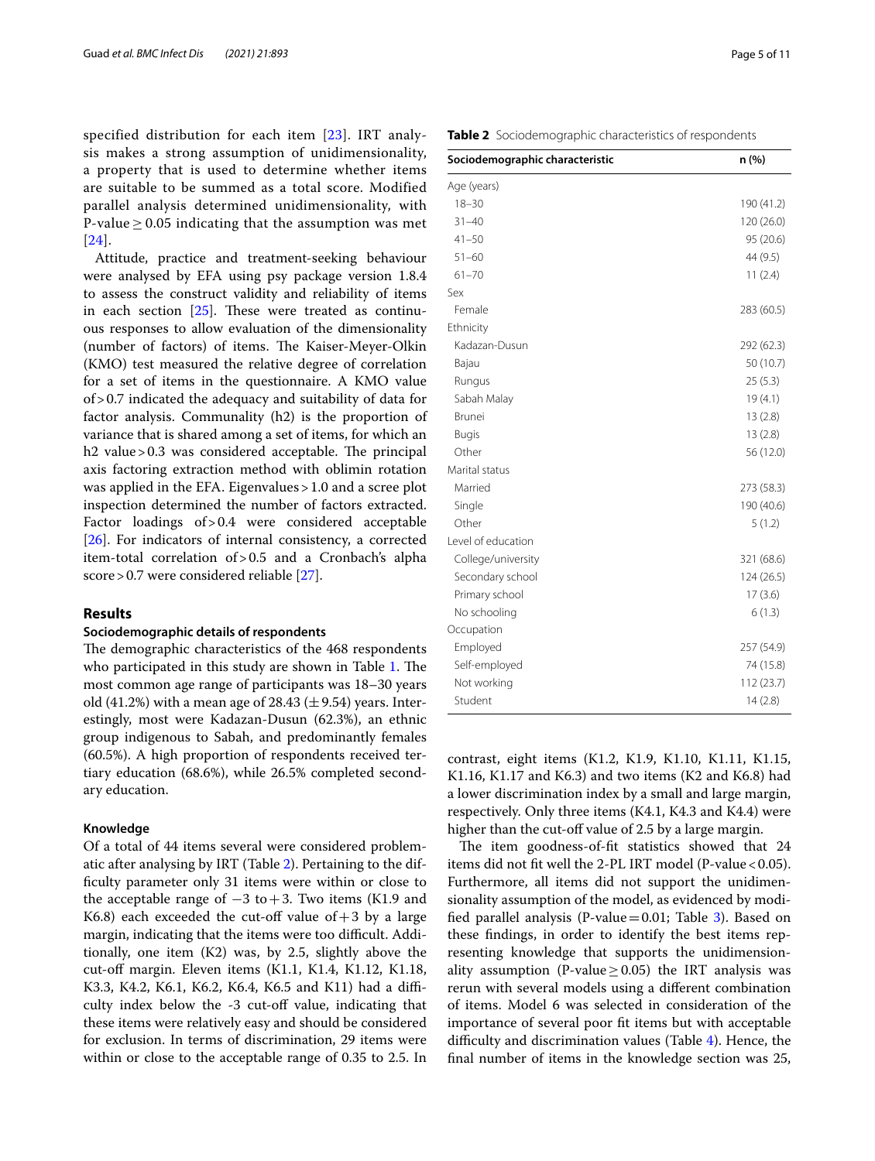specified distribution for each item [[23](#page-10-21)]. IRT analysis makes a strong assumption of unidimensionality, a property that is used to determine whether items are suitable to be summed as a total score. Modified parallel analysis determined unidimensionality, with P-value  $\geq$  0.05 indicating that the assumption was met [[24](#page-10-22)].

Attitude, practice and treatment-seeking behaviour were analysed by EFA using psy package version 1.8.4 to assess the construct validity and reliability of items in each section  $[25]$  $[25]$ . These were treated as continuous responses to allow evaluation of the dimensionality (number of factors) of items. The Kaiser-Meyer-Olkin (KMO) test measured the relative degree of correlation for a set of items in the questionnaire. A KMO value of>0.7 indicated the adequacy and suitability of data for factor analysis. Communality (h2) is the proportion of variance that is shared among a set of items, for which an h2 value  $> 0.3$  was considered acceptable. The principal axis factoring extraction method with oblimin rotation was applied in the EFA. Eigenvalues>1.0 and a scree plot inspection determined the number of factors extracted. Factor loadings of>0.4 were considered acceptable [[26\]](#page-10-24). For indicators of internal consistency, a corrected item-total correlation of>0.5 and a Cronbach's alpha score > 0.7 were considered reliable [[27](#page-10-25)].

# **Results**

# **Sociodemographic details of respondents**

The demographic characteristics of the 468 respondents who participated in this study are shown in Table [1.](#page-3-0) The most common age range of participants was 18–30 years old (41.2%) with a mean age of 28.43 ( $\pm$  9.54) years. Interestingly, most were Kadazan-Dusun (62.3%), an ethnic group indigenous to Sabah, and predominantly females (60.5%). A high proportion of respondents received tertiary education (68.6%), while 26.5% completed secondary education.

### **Knowledge**

Of a total of 44 items several were considered problematic after analysing by IRT (Table [2\)](#page-5-0). Pertaining to the diffculty parameter only 31 items were within or close to the acceptable range of  $-3$  to  $+3$ . Two items (K1.9 and K6.8) each exceeded the cut-off value of  $+3$  by a large margin, indicating that the items were too difficult. Additionally, one item (K2) was, by 2.5, slightly above the cut-off margin. Eleven items (K1.1, K1.4, K1.12, K1.18, K3.3, K4.2, K6.1, K6.2, K6.4, K6.5 and K11) had a difficulty index below the -3 cut-of value, indicating that these items were relatively easy and should be considered for exclusion. In terms of discrimination, 29 items were within or close to the acceptable range of 0.35 to 2.5. In <span id="page-5-0"></span>**Table 2** Sociodemographic characteristics of respondents

| Sociodemographic characteristic | n (%)      |
|---------------------------------|------------|
| Age (years)                     |            |
| $18 - 30$                       | 190 (41.2) |
| $31 - 40$                       | 120 (26.0) |
| $41 - 50$                       | 95 (20.6)  |
| $51 - 60$                       | 44 (9.5)   |
| $61 - 70$                       | 11(2.4)    |
| Sex                             |            |
| Female                          | 283 (60.5) |
| Ethnicity                       |            |
| Kadazan-Dusun                   | 292 (62.3) |
| Bajau                           | 50 (10.7)  |
| Rungus                          | 25(5.3)    |
| Sabah Malay                     | 19(4.1)    |
| <b>Brunei</b>                   | 13(2.8)    |
| <b>Bugis</b>                    | 13(2.8)    |
| Other                           | 56 (12.0)  |
| Marital status                  |            |
| Married                         | 273 (58.3) |
| Single                          | 190 (40.6) |
| Other                           | 5(1.2)     |
| Level of education              |            |
| College/university              | 321 (68.6) |
| Secondary school                | 124 (26.5) |
| Primary school                  | 17(3.6)    |
| No schooling                    | 6(1.3)     |
| Occupation                      |            |
| Employed                        | 257 (54.9) |
| Self-employed                   | 74 (15.8)  |
| Not working                     | 112 (23.7) |
| Student                         | 14(2.8)    |

contrast, eight items (K1.2, K1.9, K1.10, K1.11, K1.15, K1.16, K1.17 and K6.3) and two items (K2 and K6.8) had a lower discrimination index by a small and large margin, respectively. Only three items (K4.1, K4.3 and K4.4) were higher than the cut-off value of 2.5 by a large margin.

The item goodness-of-fit statistics showed that 24 items did not fit well the 2-PL IRT model (P-value  $< 0.05$ ). Furthermore, all items did not support the unidimensionality assumption of the model, as evidenced by modi-fied parallel analysis (P-value=0.01; Table [3\)](#page-6-0). Based on these fndings, in order to identify the best items representing knowledge that supports the unidimensionality assumption (P-value  $> 0.05$ ) the IRT analysis was rerun with several models using a diferent combination of items. Model 6 was selected in consideration of the importance of several poor ft items but with acceptable difficulty and discrimination values (Table  $4$ ). Hence, the fnal number of items in the knowledge section was 25,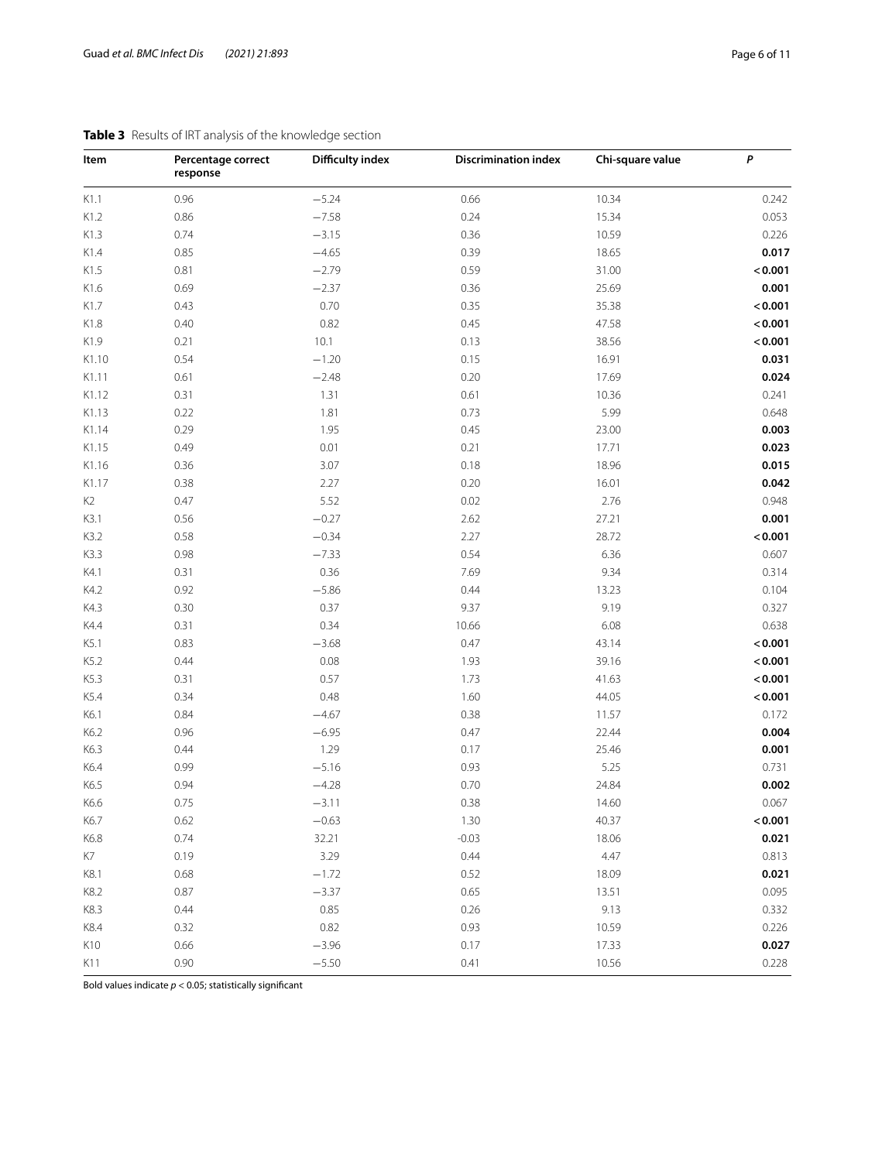| Item           | Percentage correct<br>response | <b>Difficulty index</b> | <b>Discrimination index</b> | Chi-square value | P       |
|----------------|--------------------------------|-------------------------|-----------------------------|------------------|---------|
| K1.1           | 0.96                           | $-5.24$                 | 0.66                        | 10.34            | 0.242   |
| K1.2           | 0.86                           | $-7.58$                 | 0.24                        | 15.34            | 0.053   |
| K1.3           | 0.74                           | $-3.15$                 | 0.36                        | 10.59            | 0.226   |
| K1.4           | 0.85                           | $-4.65$                 | 0.39                        | 18.65            | 0.017   |
| K1.5           | 0.81                           | $-2.79$                 | 0.59                        | 31.00            | < 0.001 |
| K1.6           | 0.69                           | $-2.37$                 | 0.36                        | 25.69            | 0.001   |
| K1.7           | 0.43                           | 0.70                    | 0.35                        | 35.38            | < 0.001 |
| K1.8           | 0.40                           | 0.82                    | 0.45                        | 47.58            | < 0.001 |
| K1.9           | 0.21                           | 10.1                    | 0.13                        | 38.56            | < 0.001 |
| K1.10          | 0.54                           | $-1.20$                 | 0.15                        | 16.91            | 0.031   |
| K1.11          | 0.61                           | $-2.48$                 | 0.20                        | 17.69            | 0.024   |
| K1.12          | 0.31                           | 1.31                    | 0.61                        | 10.36            | 0.241   |
| K1.13          | 0.22                           | 1.81                    | 0.73                        | 5.99             | 0.648   |
| K1.14          | 0.29                           | 1.95                    | 0.45                        | 23.00            | 0.003   |
| K1.15          | 0.49                           | 0.01                    | 0.21                        | 17.71            | 0.023   |
| K1.16          | 0.36                           | 3.07                    | 0.18                        | 18.96            | 0.015   |
| K1.17          | 0.38                           | 2.27                    | 0.20                        | 16.01            | 0.042   |
| K <sub>2</sub> | 0.47                           | 5.52                    | 0.02                        | 2.76             | 0.948   |
| K3.1           | 0.56                           | $-0.27$                 | 2.62                        | 27.21            | 0.001   |
| K3.2           | 0.58                           | $-0.34$                 | 2.27                        | 28.72            | < 0.001 |
| K3.3           | 0.98                           | $-7.33$                 | 0.54                        | 6.36             | 0.607   |
| K4.1           | 0.31                           | 0.36                    | 7.69                        | 9.34             | 0.314   |
| K4.2           | 0.92                           | $-5.86$                 | 0.44                        | 13.23            | 0.104   |
| K4.3           | 0.30                           | 0.37                    | 9.37                        | 9.19             | 0.327   |
| K4.4           | 0.31                           | 0.34                    | 10.66                       | 6.08             | 0.638   |
| K5.1           | 0.83                           | $-3.68$                 | 0.47                        | 43.14            | < 0.001 |
| K5.2           | 0.44                           | 0.08                    | 1.93                        | 39.16            | < 0.001 |
| K5.3           | 0.31                           | 0.57                    | 1.73                        | 41.63            | < 0.001 |
| K5.4           | 0.34                           | 0.48                    | 1.60                        | 44.05            | < 0.001 |
| K6.1           | 0.84                           | $-4.67$                 | 0.38                        | 11.57            | 0.172   |
| K6.2           | 0.96                           | $-6.95$                 | 0.47                        | 22.44            | 0.004   |
| K6.3           | 0.44                           | 1.29                    | 0.17                        | 25.46            | 0.001   |
| K6.4           | 0.99                           | $-5.16$                 | 0.93                        | 5.25             | 0.731   |
| K6.5           | 0.94                           | $-4.28$                 | 0.70                        | 24.84            | 0.002   |
| K6.6           | 0.75                           | $-3.11$                 | 0.38                        | 14.60            | 0.067   |
| K6.7           | 0.62                           | $-0.63$                 | 1.30                        | 40.37            | < 0.001 |
| K6.8           | 0.74                           | 32.21                   | $-0.03$                     | 18.06            | 0.021   |
| K7             | 0.19                           | 3.29                    | 0.44                        | 4.47             | 0.813   |
| K8.1           | 0.68                           | $-1.72$                 | 0.52                        | 18.09            | 0.021   |
| K8.2           | 0.87                           | $-3.37$                 | 0.65                        | 13.51            | 0.095   |
| K8.3           | 0.44                           | 0.85                    | 0.26                        | 9.13             | 0.332   |
| K8.4           | 0.32                           | 0.82                    | 0.93                        | 10.59            | 0.226   |
| K10            | 0.66                           | $-3.96$                 | 0.17                        | 17.33            | 0.027   |
| K11            | 0.90                           | $-5.50$                 | 0.41                        | 10.56            | 0.228   |

# <span id="page-6-0"></span>**Table 3** Results of IRT analysis of the knowledge section

Bold values indicate *p* < 0.05; statistically signifcant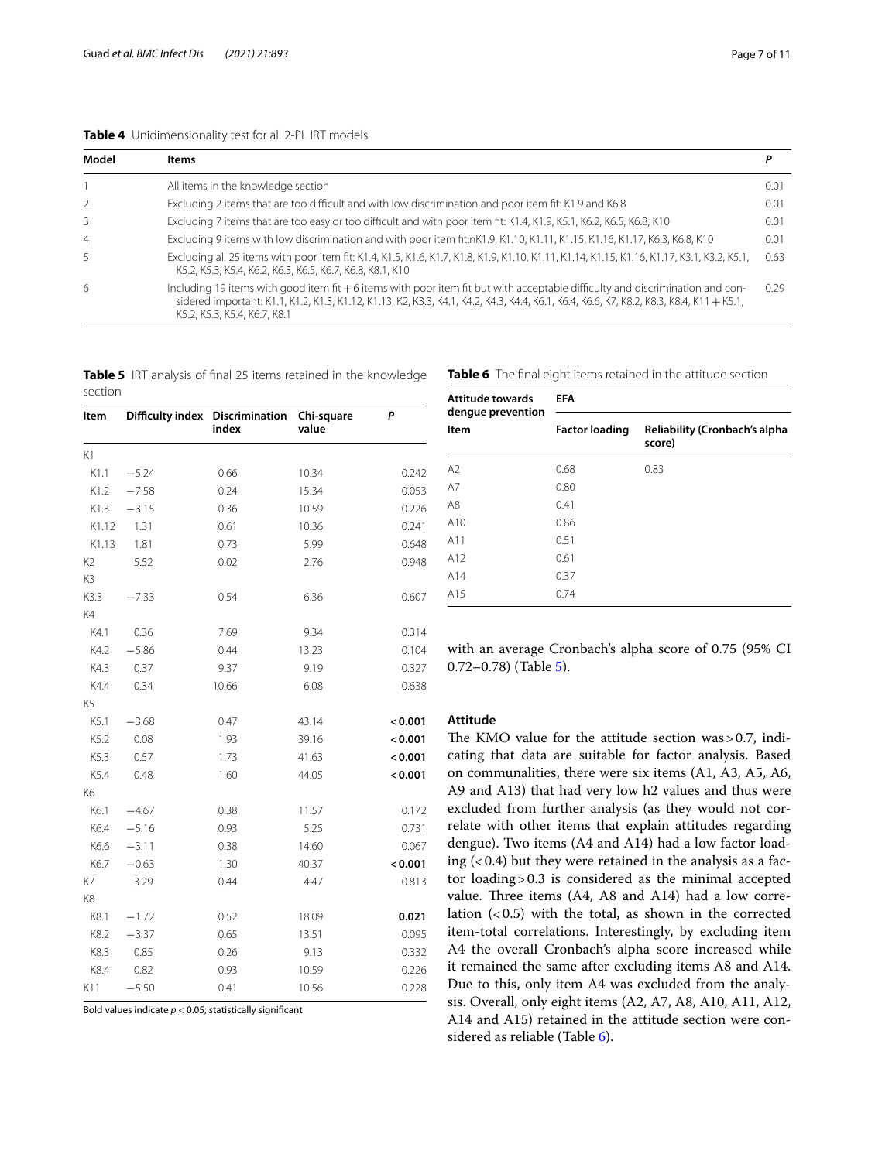## <span id="page-7-0"></span>**Table 4** Unidimensionality test for all 2-PL IRT models

| Model                    | <b>Items</b>                                                                                                                                                                                                                                                                                             |      |
|--------------------------|----------------------------------------------------------------------------------------------------------------------------------------------------------------------------------------------------------------------------------------------------------------------------------------------------------|------|
|                          | All items in the knowledge section                                                                                                                                                                                                                                                                       | 0.01 |
| $\overline{\phantom{a}}$ | Excluding 2 items that are too difficult and with low discrimination and poor item fit: K1.9 and K6.8                                                                                                                                                                                                    | 0.01 |
| 3                        | Excluding 7 items that are too easy or too difficult and with poor item fit: K1.4, K1.9, K5.1, K6.2, K6.5, K6.8, K10                                                                                                                                                                                     | 0.01 |
| $\overline{4}$           | Excluding 9 items with low discrimination and with poor item fit:nK1.9, K1.10, K1.11, K1.15, K1.16, K1.17, K6.3, K6.8, K10                                                                                                                                                                               | 0.01 |
| 5.                       | Excluding all 25 items with poor item fit: K1.4, K1.5, K1.6, K1.7, K1.8, K1.9, K1.10, K1.11, K1.14, K1.15, K1.16, K1.17, K3.1, K3.2, K5.1,<br>K5.2, K5.3, K5.4, K6.2, K6.3, K6.5, K6.7, K6.8, K8.1, K10                                                                                                  | 0.63 |
| 6                        | Including 19 items with good item fit +6 items with poor item fit but with acceptable difficulty and discrimination and con-<br>sidered important: K1.1, K1.2, K1.3, K1.12, K1.13, K2, K3.3, K4.1, K4.2, K4.3, K4.4, K6.1, K6.4, K6.6, K7, K8.2, K8.3, K8.4, K11 + K5.1,<br>K5.2, K5.3, K5.4, K6.7, K8.1 | 0.29 |

<span id="page-7-1"></span>**Table 5** IRT analysis of fnal 25 items retained in the knowledge section

| Item           | Difficulty index | <b>Discrimination</b><br>index | Chi-square<br>value | P       |
|----------------|------------------|--------------------------------|---------------------|---------|
| K1             |                  |                                |                     |         |
| K1.1           | $-5.24$          | 0.66                           | 10.34               | 0.242   |
| K1.2           | $-7.58$          | 0.24                           | 15.34               | 0.053   |
| K1.3           | $-3.15$          | 0.36                           | 10.59               | 0.226   |
| K1.12          | 1.31             | 0.61                           | 10.36               | 0.241   |
| K1.13          | 1.81             | 0.73                           | 5.99                | 0.648   |
| K <sub>2</sub> | 5.52             | 0.02                           | 2.76                | 0.948   |
| K <sub>3</sub> |                  |                                |                     |         |
| K3.3           | $-7.33$          | 0.54                           | 6.36                | 0.607   |
| K4             |                  |                                |                     |         |
| K4.1           | 0.36             | 7.69                           | 9.34                | 0.314   |
| K4.2           | $-5.86$          | 0.44                           | 13.23               | 0.104   |
| K4.3           | 0.37             | 9.37                           | 9.19                | 0.327   |
| K4.4           | 0.34             | 10.66                          | 6.08                | 0.638   |
| K <sub>5</sub> |                  |                                |                     |         |
| K5.1           | $-3.68$          | 0.47                           | 43.14               | < 0.001 |
| K5.2           | 0.08             | 1.93                           | 39.16               | < 0.001 |
| K5.3           | 0.57             | 1.73                           | 41.63               | < 0.001 |
| K5.4           | 0.48             | 1.60                           | 44.05               | < 0.001 |
| K6             |                  |                                |                     |         |
| K6.1           | $-4.67$          | 0.38                           | 11.57               | 0.172   |
| K6.4           | $-5.16$          | 0.93                           | 5.25                | 0.731   |
| K6.6           | $-3.11$          | 0.38                           | 14.60               | 0.067   |
| K6.7           | $-0.63$          | 1.30                           | 40.37               | < 0.001 |
| K7             | 3.29             | 0.44                           | 4.47                | 0.813   |
| K8             |                  |                                |                     |         |
| K8.1           | $-1.72$          | 0.52                           | 18.09               | 0.021   |
| K8.2           | $-3.37$          | 0.65                           | 13.51               | 0.095   |
| K8.3           | 0.85             | 0.26                           | 9.13                | 0.332   |
| K8.4           | 0.82             | 0.93                           | 10.59               | 0.226   |
| K11            | $-5.50$          | 0.41                           | 10.56               | 0.228   |

Bold values indicate  $p < 0.05$ ; statistically significant

<span id="page-7-2"></span>**Table 6** The fnal eight items retained in the attitude section

| <b>Attitude towards</b><br>dengue prevention | <b>EFA</b>            |                                         |  |
|----------------------------------------------|-----------------------|-----------------------------------------|--|
| Item                                         | <b>Factor loading</b> | Reliability (Cronbach's alpha<br>score) |  |
| A <sub>2</sub>                               | 0.68                  | 0.83                                    |  |
| A7                                           | 0.80                  |                                         |  |
| A8                                           | 0.41                  |                                         |  |
| A10                                          | 0.86                  |                                         |  |
| A11                                          | 0.51                  |                                         |  |
| A12                                          | 0.61                  |                                         |  |
| A14                                          | 0.37                  |                                         |  |
| A15                                          | 0.74                  |                                         |  |

with an average Cronbach's alpha score of 0.75 (95% CI 0.72–0.78) (Table [5\)](#page-7-1).

# **Attitude**

The KMO value for the attitude section was  $> 0.7$ , indicating that data are suitable for factor analysis. Based on communalities, there were six items (A1, A3, A5, A6, A9 and A13) that had very low h2 values and thus were excluded from further analysis (as they would not correlate with other items that explain attitudes regarding dengue). Two items (A4 and A14) had a low factor loading  $( $0.4$ ) but they were retained in the analysis as a fac$ tor loading>0.3 is considered as the minimal accepted value. Three items  $(A4, A8$  and  $A14)$  had a low correlation  $(0.5)$  with the total, as shown in the corrected item-total correlations. Interestingly, by excluding item A4 the overall Cronbach's alpha score increased while it remained the same after excluding items A8 and A14. Due to this, only item A4 was excluded from the analysis. Overall, only eight items (A2, A7, A8, A10, A11, A12, A14 and A15) retained in the attitude section were considered as reliable (Table [6](#page-7-2)).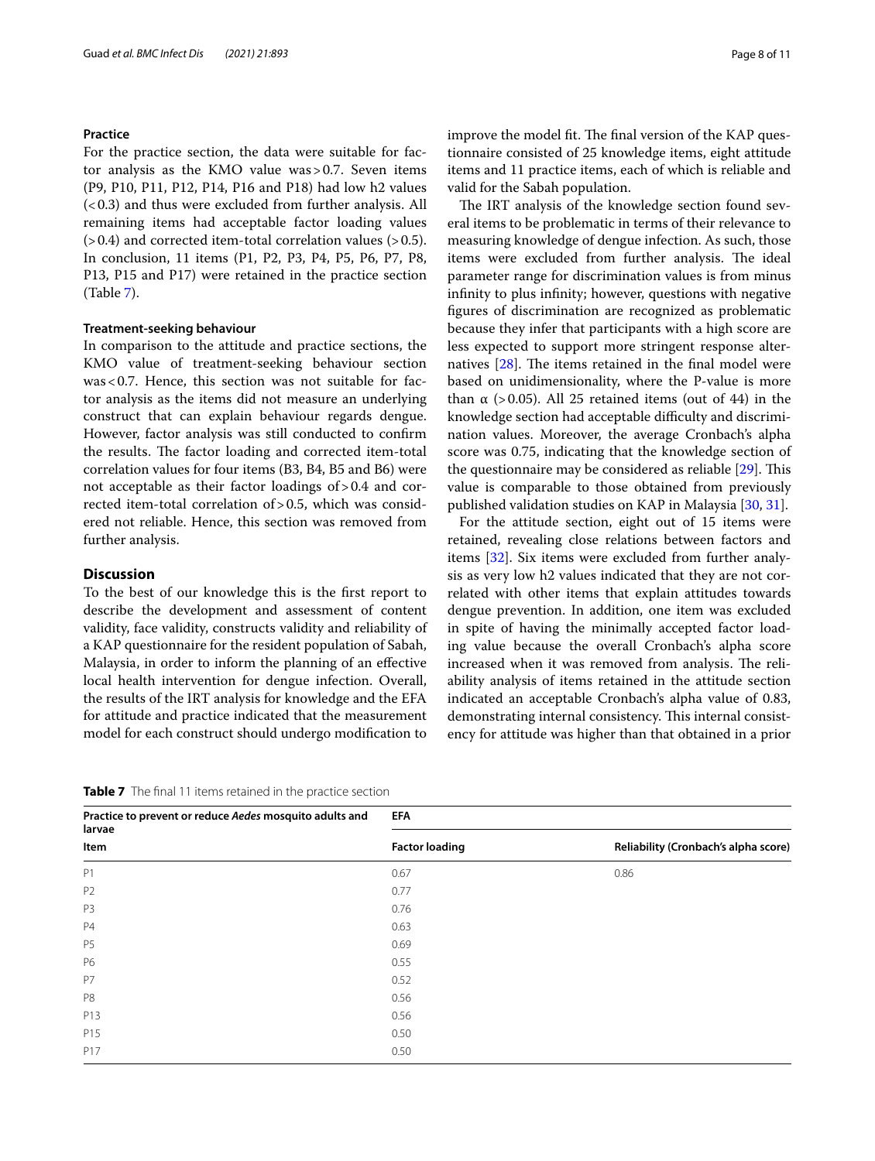# **Practice**

For the practice section, the data were suitable for factor analysis as the KMO value was>0.7. Seven items (P9, P10, P11, P12, P14, P16 and P18) had low h2 values  $(< 0.3$ ) and thus were excluded from further analysis. All remaining items had acceptable factor loading values  $(>0.4)$  and corrected item-total correlation values  $(>0.5)$ . In conclusion, 11 items (P1, P2, P3, P4, P5, P6, P7, P8, P13, P15 and P17) were retained in the practice section (Table [7](#page-8-0)).

# **Treatment-seeking behaviour**

In comparison to the attitude and practice sections, the KMO value of treatment-seeking behaviour section was<0.7. Hence, this section was not suitable for factor analysis as the items did not measure an underlying construct that can explain behaviour regards dengue. However, factor analysis was still conducted to confrm the results. The factor loading and corrected item-total correlation values for four items (B3, B4, B5 and B6) were not acceptable as their factor loadings of>0.4 and corrected item-total correlation of > 0.5, which was considered not reliable. Hence, this section was removed from further analysis.

# **Discussion**

To the best of our knowledge this is the frst report to describe the development and assessment of content validity, face validity, constructs validity and reliability of a KAP questionnaire for the resident population of Sabah, Malaysia, in order to inform the planning of an efective local health intervention for dengue infection. Overall, the results of the IRT analysis for knowledge and the EFA for attitude and practice indicated that the measurement model for each construct should undergo modifcation to improve the model fit. The final version of the KAP questionnaire consisted of 25 knowledge items, eight attitude items and 11 practice items, each of which is reliable and valid for the Sabah population.

The IRT analysis of the knowledge section found several items to be problematic in terms of their relevance to measuring knowledge of dengue infection. As such, those items were excluded from further analysis. The ideal parameter range for discrimination values is from minus infnity to plus infnity; however, questions with negative fgures of discrimination are recognized as problematic because they infer that participants with a high score are less expected to support more stringent response alternatives  $[28]$  $[28]$ . The items retained in the final model were based on unidimensionality, where the P-value is more than  $\alpha$  (>0.05). All 25 retained items (out of 44) in the knowledge section had acceptable difficulty and discrimination values. Moreover, the average Cronbach's alpha score was 0.75, indicating that the knowledge section of the questionnaire may be considered as reliable  $[29]$  $[29]$ . This value is comparable to those obtained from previously published validation studies on KAP in Malaysia [\[30](#page-10-28), [31](#page-11-0)].

For the attitude section, eight out of 15 items were retained, revealing close relations between factors and items [[32\]](#page-11-1). Six items were excluded from further analysis as very low h2 values indicated that they are not correlated with other items that explain attitudes towards dengue prevention. In addition, one item was excluded in spite of having the minimally accepted factor loading value because the overall Cronbach's alpha score increased when it was removed from analysis. The reliability analysis of items retained in the attitude section indicated an acceptable Cronbach's alpha value of 0.83, demonstrating internal consistency. This internal consistency for attitude was higher than that obtained in a prior

<span id="page-8-0"></span>**Table 7** The fnal 11 items retained in the practice section

| Practice to prevent or reduce Aedes mosquito adults and<br>larvae | <b>EFA</b>            |                                      |  |
|-------------------------------------------------------------------|-----------------------|--------------------------------------|--|
| Item                                                              | <b>Factor loading</b> | Reliability (Cronbach's alpha score) |  |
| P <sub>1</sub>                                                    | 0.67                  | 0.86                                 |  |
| P <sub>2</sub>                                                    | 0.77                  |                                      |  |
| P <sub>3</sub>                                                    | 0.76                  |                                      |  |
| <b>P4</b>                                                         | 0.63                  |                                      |  |
| P <sub>5</sub>                                                    | 0.69                  |                                      |  |
| P6                                                                | 0.55                  |                                      |  |
| P7                                                                | 0.52                  |                                      |  |
| P <sub>8</sub>                                                    | 0.56                  |                                      |  |
| P13                                                               | 0.56                  |                                      |  |
| P15                                                               | 0.50                  |                                      |  |
| P17                                                               | 0.50                  |                                      |  |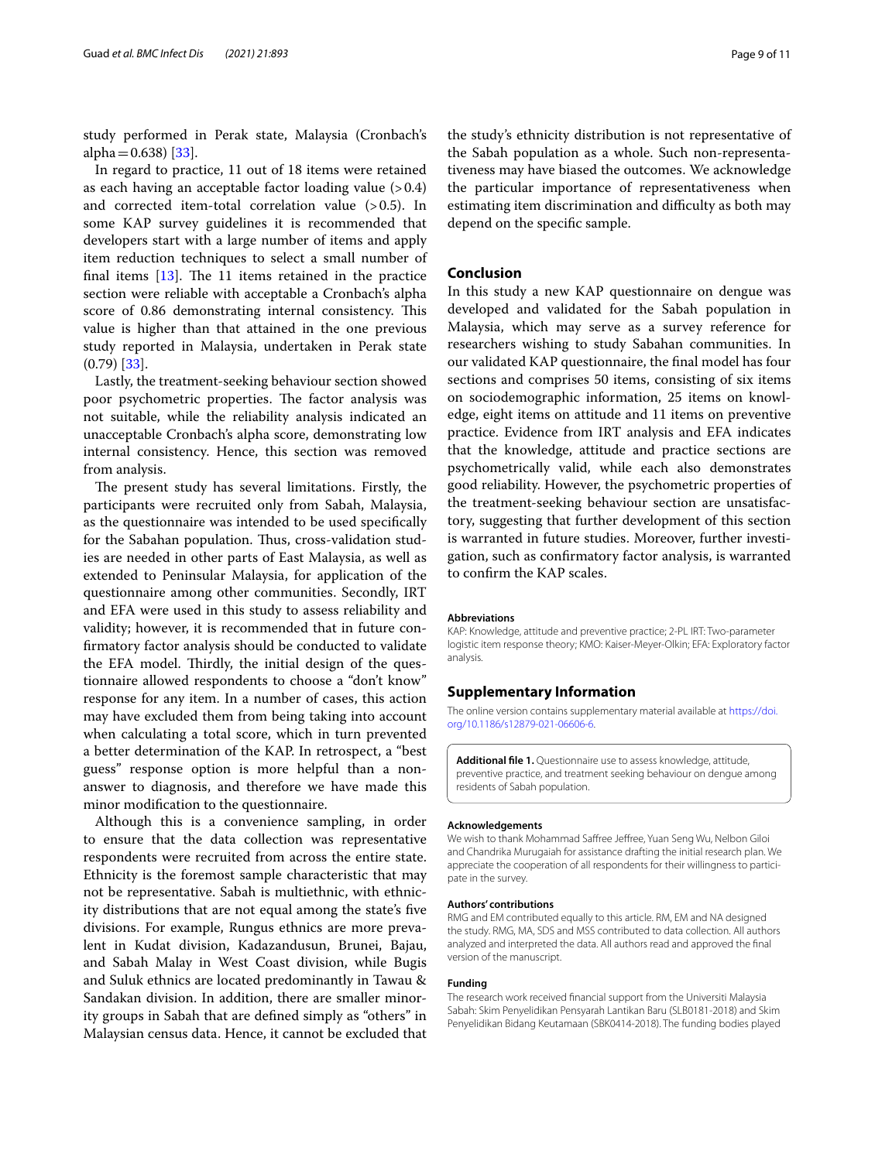study performed in Perak state, Malaysia (Cronbach's alpha $=0.638$ ) [[33](#page-11-2)].

In regard to practice, 11 out of 18 items were retained as each having an acceptable factor loading value (>0.4) and corrected item-total correlation value  $(>0.5)$ . In some KAP survey guidelines it is recommended that developers start with a large number of items and apply item reduction techniques to select a small number of final items  $[13]$  $[13]$ . The 11 items retained in the practice section were reliable with acceptable a Cronbach's alpha score of 0.86 demonstrating internal consistency. This value is higher than that attained in the one previous study reported in Malaysia, undertaken in Perak state  $(0.79)$  [[33](#page-11-2)].

Lastly, the treatment-seeking behaviour section showed poor psychometric properties. The factor analysis was not suitable, while the reliability analysis indicated an unacceptable Cronbach's alpha score, demonstrating low internal consistency. Hence, this section was removed from analysis.

The present study has several limitations. Firstly, the participants were recruited only from Sabah, Malaysia, as the questionnaire was intended to be used specifcally for the Sabahan population. Thus, cross-validation studies are needed in other parts of East Malaysia, as well as extended to Peninsular Malaysia, for application of the questionnaire among other communities. Secondly, IRT and EFA were used in this study to assess reliability and validity; however, it is recommended that in future confrmatory factor analysis should be conducted to validate the EFA model. Thirdly, the initial design of the questionnaire allowed respondents to choose a "don't know" response for any item. In a number of cases, this action may have excluded them from being taking into account when calculating a total score, which in turn prevented a better determination of the KAP. In retrospect, a "best guess" response option is more helpful than a nonanswer to diagnosis, and therefore we have made this minor modifcation to the questionnaire.

Although this is a convenience sampling, in order to ensure that the data collection was representative respondents were recruited from across the entire state. Ethnicity is the foremost sample characteristic that may not be representative. Sabah is multiethnic, with ethnicity distributions that are not equal among the state's fve divisions. For example, Rungus ethnics are more prevalent in Kudat division, Kadazandusun, Brunei, Bajau, and Sabah Malay in West Coast division, while Bugis and Suluk ethnics are located predominantly in Tawau & Sandakan division. In addition, there are smaller minority groups in Sabah that are defned simply as "others" in Malaysian census data. Hence, it cannot be excluded that the study's ethnicity distribution is not representative of the Sabah population as a whole. Such non-representativeness may have biased the outcomes. We acknowledge the particular importance of representativeness when estimating item discrimination and difficulty as both may depend on the specifc sample.

## **Conclusion**

In this study a new KAP questionnaire on dengue was developed and validated for the Sabah population in Malaysia, which may serve as a survey reference for researchers wishing to study Sabahan communities. In our validated KAP questionnaire, the fnal model has four sections and comprises 50 items, consisting of six items on sociodemographic information, 25 items on knowledge, eight items on attitude and 11 items on preventive practice. Evidence from IRT analysis and EFA indicates that the knowledge, attitude and practice sections are psychometrically valid, while each also demonstrates good reliability. However, the psychometric properties of the treatment-seeking behaviour section are unsatisfactory, suggesting that further development of this section is warranted in future studies. Moreover, further investigation, such as confrmatory factor analysis, is warranted to confrm the KAP scales.

#### **Abbreviations**

KAP: Knowledge, attitude and preventive practice; 2-PL IRT: Two-parameter logistic item response theory; KMO: Kaiser-Meyer-Olkin; EFA: Exploratory factor analysis.

### **Supplementary Information**

The online version contains supplementary material available at [https://doi.](https://doi.org/10.1186/s12879-021-06606-6) [org/10.1186/s12879-021-06606-6](https://doi.org/10.1186/s12879-021-06606-6).

<span id="page-9-0"></span>**Additional fle 1.** Questionnaire use to assess knowledge, attitude, preventive practice, and treatment seeking behaviour on dengue among residents of Sabah population.

### **Acknowledgements**

We wish to thank Mohammad Safree Jefree, Yuan Seng Wu, Nelbon Giloi and Chandrika Murugaiah for assistance drafting the initial research plan. We appreciate the cooperation of all respondents for their willingness to participate in the survey.

#### **Authors' contributions**

RMG and EM contributed equally to this article. RM, EM and NA designed the study. RMG, MA, SDS and MSS contributed to data collection. All authors analyzed and interpreted the data. All authors read and approved the fnal version of the manuscript.

### **Funding**

The research work received fnancial support from the Universiti Malaysia Sabah: Skim Penyelidikan Pensyarah Lantikan Baru (SLB0181-2018) and Skim Penyelidikan Bidang Keutamaan (SBK0414-2018). The funding bodies played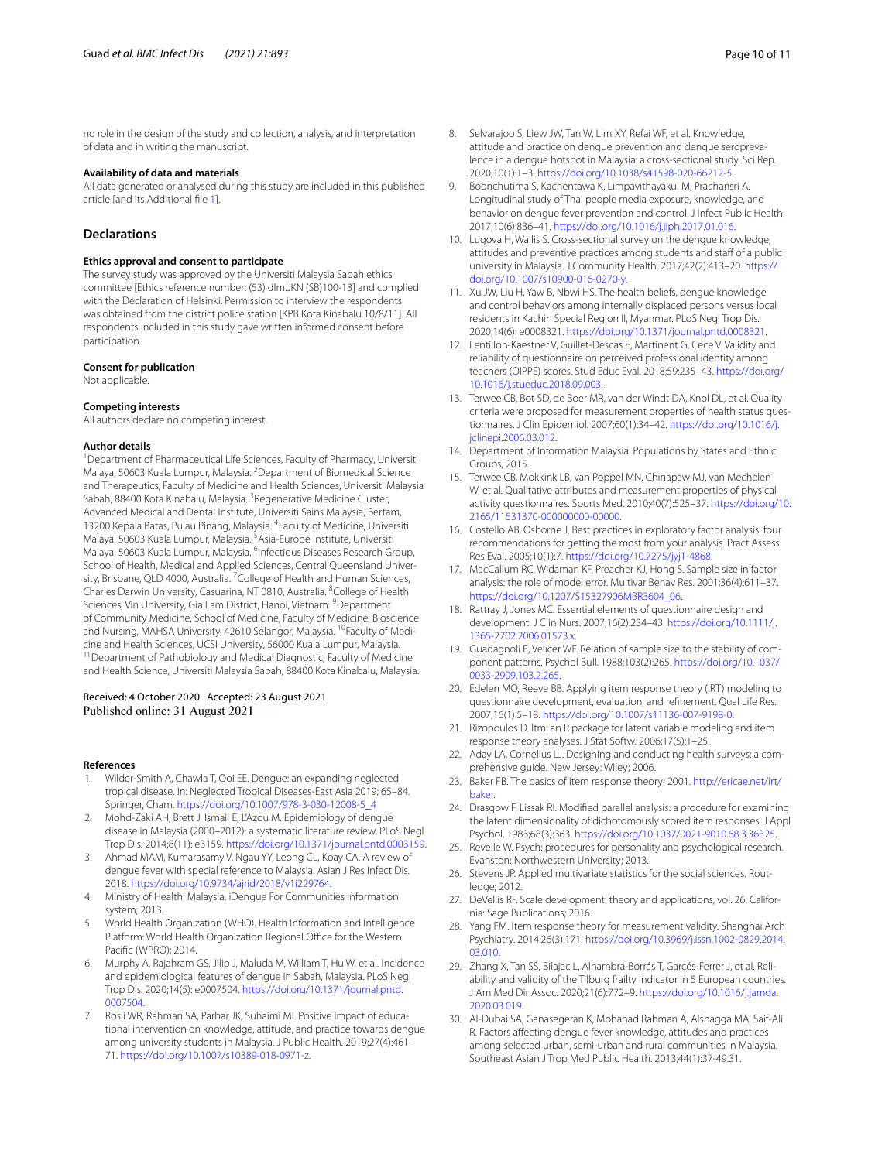no role in the design of the study and collection, analysis, and interpretation of data and in writing the manuscript.

### **Availability of data and materials**

All data generated or analysed during this study are included in this published article [and its Additional fle [1\]](#page-9-0).

# **Declarations**

### **Ethics approval and consent to participate**

The survey study was approved by the Universiti Malaysia Sabah ethics committee [Ethics reference number: (53) dlm.JKN (SB)100-13] and complied with the Declaration of Helsinki. Permission to interview the respondents was obtained from the district police station [KPB Kota Kinabalu 10/8/11]. All respondents included in this study gave written informed consent before participation.

#### **Consent for publication**

Not applicable.

### **Competing interests**

All authors declare no competing interest.

#### **Author details**

<sup>1</sup> Department of Pharmaceutical Life Sciences, Faculty of Pharmacy, Universiti Malaya, 50603 Kuala Lumpur, Malaysia. <sup>2</sup> Department of Biomedical Science and Therapeutics, Faculty of Medicine and Health Sciences, Universiti Malaysia Sabah, 88400 Kota Kinabalu, Malaysia. <sup>3</sup> Regenerative Medicine Cluster, Advanced Medical and Dental Institute, Universiti Sains Malaysia, Bertam, 13200 Kepala Batas, Pulau Pinang, Malaysia. <sup>4</sup> Faculty of Medicine, Universiti Malaya, 50603 Kuala Lumpur, Malaysia. <sup>5</sup>Asia-Europe Institute, Universiti Malaya, 50603 Kuala Lumpur, Malaysia. <sup>6</sup>Infectious Diseases Research Group, School of Health, Medical and Applied Sciences, Central Queensland University, Brisbane, QLD 4000, Australia. <sup>7</sup> College of Health and Human Sciences, Charles Darwin University, Casuarina, NT 0810, Australia. <sup>8</sup>College of Health Sciences, Vin University, Gia Lam District, Hanoi, Vietnam. <sup>9</sup>Department of Community Medicine, School of Medicine, Faculty of Medicine, Bioscience and Nursing, MAHSA University, 42610 Selangor, Malaysia. <sup>10</sup>Faculty of Medicine and Health Sciences, UCSI University, 56000 Kuala Lumpur, Malaysia.<br><sup>11</sup>Department of Pathobiology and Medical Diagnostic, Faculty of Medicine and Health Science, Universiti Malaysia Sabah, 88400 Kota Kinabalu, Malaysia.

### Received: 4 October 2020 Accepted: 23 August 2021 Published online: 31 August 2021

### **References**

- <span id="page-10-0"></span>1. Wilder-Smith A, Chawla T, Ooi EE. Dengue: an expanding neglected tropical disease. In: Neglected Tropical Diseases-East Asia 2019; 65–84. Springer, Cham. [https://doi.org/10.1007/978-3-030-12008-5\\_4](https://doi.org/10.1007/978-3-030-12008-5_4)
- <span id="page-10-1"></span>2. Mohd-Zaki AH, Brett J, Ismail E, L'Azou M. Epidemiology of dengue disease in Malaysia (2000–2012): a systematic literature review. PLoS Negl Trop Dis. 2014;8(11): e3159. <https://doi.org/10.1371/journal.pntd.0003159>.
- <span id="page-10-2"></span>3. Ahmad MAM, Kumarasamy V, Ngau YY, Leong CL, Koay CA. A review of dengue fever with special reference to Malaysia. Asian J Res Infect Dis. 2018. [https://doi.org/10.9734/ajrid/2018/v1i229764.](https://doi.org/10.9734/ajrid/2018/v1i229764)
- <span id="page-10-3"></span>4. Ministry of Health, Malaysia. iDengue For Communities information system; 2013.
- <span id="page-10-4"></span>5. World Health Organization (WHO). Health Information and Intelligence Platform: World Health Organization Regional Office for the Western Pacifc (WPRO); 2014.
- <span id="page-10-5"></span>6. Murphy A, Rajahram GS, Jilip J, Maluda M, William T, Hu W, et al. Incidence and epidemiological features of dengue in Sabah, Malaysia. PLoS Negl Trop Dis. 2020;14(5): e0007504. [https://doi.org/10.1371/journal.pntd.](https://doi.org/10.1371/journal.pntd.0007504) [0007504](https://doi.org/10.1371/journal.pntd.0007504).
- <span id="page-10-6"></span>7. Rosli WR, Rahman SA, Parhar JK, Suhaimi MI. Positive impact of educational intervention on knowledge, attitude, and practice towards dengue among university students in Malaysia. J Public Health. 2019;27(4):461– 71. <https://doi.org/10.1007/s10389-018-0971-z>.
- <span id="page-10-7"></span>8. Selvarajoo S, Liew JW, Tan W, Lim XY, Refai WF, et al. Knowledge, attitude and practice on dengue prevention and dengue seroprevalence in a dengue hotspot in Malaysia: a cross-sectional study. Sci Rep. 2020;10(1):1–3. [https://doi.org/10.1038/s41598-020-66212-5.](https://doi.org/10.1038/s41598-020-66212-5)
- <span id="page-10-8"></span>9. Boonchutima S, Kachentawa K, Limpavithayakul M, Prachansri A. Longitudinal study of Thai people media exposure, knowledge, and behavior on dengue fever prevention and control. J Infect Public Health. 2017;10(6):836–41. [https://doi.org/10.1016/j.jiph.2017.01.016.](https://doi.org/10.1016/j.jiph.2017.01.016)
- <span id="page-10-9"></span>10. Lugova H, Wallis S. Cross-sectional survey on the dengue knowledge, attitudes and preventive practices among students and staff of a public university in Malaysia. J Community Health. 2017;42(2):413–20. [https://](https://doi.org/10.1007/s10900-016-0270-y) [doi.org/10.1007/s10900-016-0270-y.](https://doi.org/10.1007/s10900-016-0270-y)
- <span id="page-10-10"></span>11. Xu JW, Liu H, Yaw B, Nbwi HS. The health beliefs, dengue knowledge and control behaviors among internally displaced persons versus local residents in Kachin Special Region II, Myanmar. PLoS Negl Trop Dis. 2020;14(6): e0008321. <https://doi.org/10.1371/journal.pntd.0008321>.
- <span id="page-10-11"></span>12. Lentillon-Kaestner V, Guillet-Descas E, Martinent G, Cece V. Validity and reliability of questionnaire on perceived professional identity among teachers (QIPPE) scores. Stud Educ Eval. 2018;59:235–43. [https://doi.org/](https://doi.org/10.1016/j.stueduc.2018.09.003) [10.1016/j.stueduc.2018.09.003](https://doi.org/10.1016/j.stueduc.2018.09.003).
- <span id="page-10-12"></span>13. Terwee CB, Bot SD, de Boer MR, van der Windt DA, Knol DL, et al. Quality criteria were proposed for measurement properties of health status questionnaires. J Clin Epidemiol. 2007;60(1):34–42. [https://doi.org/10.1016/j.](https://doi.org/10.1016/j.jclinepi.2006.03.012) [jclinepi.2006.03.012](https://doi.org/10.1016/j.jclinepi.2006.03.012).
- <span id="page-10-13"></span>14. Department of Information Malaysia. Populations by States and Ethnic Groups, 2015.
- <span id="page-10-14"></span>15. Terwee CB, Mokkink LB, van Poppel MN, Chinapaw MJ, van Mechelen W, et al. Qualitative attributes and measurement properties of physical activity questionnaires. Sports Med. 2010;40(7):525–37. [https://doi.org/10.](https://doi.org/10.2165/11531370-000000000-00000) [2165/11531370-000000000-00000.](https://doi.org/10.2165/11531370-000000000-00000)
- <span id="page-10-15"></span>16. Costello AB, Osborne J. Best practices in exploratory factor analysis: four recommendations for getting the most from your analysis. Pract Assess Res Eval. 2005;10(1):7.<https://doi.org/10.7275/jyj1-4868>.
- 17. MacCallum RC, Widaman KF, Preacher KJ, Hong S. Sample size in factor analysis: the role of model error. Multivar Behav Res. 2001;36(4):611–37. [https://doi.org/10.1207/S15327906MBR3604\\_06](https://doi.org/10.1207/S15327906MBR3604_06).
- <span id="page-10-16"></span>18. Rattray J, Jones MC. Essential elements of questionnaire design and development. J Clin Nurs. 2007;16(2):234–43. [https://doi.org/10.1111/j.](https://doi.org/10.1111/j.1365-2702.2006.01573.x) [1365-2702.2006.01573.x](https://doi.org/10.1111/j.1365-2702.2006.01573.x).
- <span id="page-10-17"></span>19. Guadagnoli E, Velicer WF. Relation of sample size to the stability of component patterns. Psychol Bull. 1988;103(2):265. [https://doi.org/10.1037/](https://doi.org/10.1037/0033-2909.103.2.265) [0033-2909.103.2.265.](https://doi.org/10.1037/0033-2909.103.2.265)
- <span id="page-10-18"></span>20. Edelen MO, Reeve BB. Applying item response theory (IRT) modeling to questionnaire development, evaluation, and refnement. Qual Life Res. 2007;16(1):5–18. [https://doi.org/10.1007/s11136-007-9198-0.](https://doi.org/10.1007/s11136-007-9198-0)
- <span id="page-10-19"></span>21. Rizopoulos D. ltm: an R package for latent variable modeling and item response theory analyses. J Stat Softw. 2006;17(5):1–25.
- <span id="page-10-20"></span>22. Aday LA, Cornelius LJ. Designing and conducting health surveys: a comprehensive guide. New Jersey: Wiley; 2006.
- <span id="page-10-21"></span>23. Baker FB. The basics of item response theory; 2001. [http://ericae.net/irt/](http://ericae.net/irt/baker) [baker](http://ericae.net/irt/baker).
- <span id="page-10-22"></span>24. Drasgow F, Lissak RI. Modifed parallel analysis: a procedure for examining the latent dimensionality of dichotomously scored item responses. J Appl Psychol. 1983;68(3):363. [https://doi.org/10.1037/0021-9010.68.3.36325.](https://doi.org/10.1037/0021-9010.68.3.36325)
- <span id="page-10-23"></span>25. Revelle W. Psych: procedures for personality and psychological research. Evanston: Northwestern University; 2013.
- <span id="page-10-24"></span>26. Stevens JP. Applied multivariate statistics for the social sciences. Routledge; 2012.
- <span id="page-10-25"></span>27. DeVellis RF. Scale development: theory and applications, vol. 26. California: Sage Publications; 2016.
- <span id="page-10-26"></span>28. Yang FM. Item response theory for measurement validity. Shanghai Arch Psychiatry. 2014;26(3):171. [https://doi.org/10.3969/j.issn.1002-0829.2014.](https://doi.org/10.3969/j.issn.1002-0829.2014.03.010) [03.010](https://doi.org/10.3969/j.issn.1002-0829.2014.03.010).
- <span id="page-10-27"></span>29. Zhang X, Tan SS, Bilajac L, Alhambra-Borrás T, Garcés-Ferrer J, et al. Reliability and validity of the Tilburg frailty indicator in 5 European countries. J Am Med Dir Assoc. 2020;21(6):772–9. [https://doi.org/10.1016/j.jamda.](https://doi.org/10.1016/j.jamda.2020.03.019) [2020.03.019](https://doi.org/10.1016/j.jamda.2020.03.019).
- <span id="page-10-28"></span>30. Al-Dubai SA, Ganasegeran K, Mohanad Rahman A, Alshagga MA, Saif-Ali R. Factors afecting dengue fever knowledge, attitudes and practices among selected urban, semi-urban and rural communities in Malaysia. Southeast Asian J Trop Med Public Health. 2013;44(1):37-49.31.